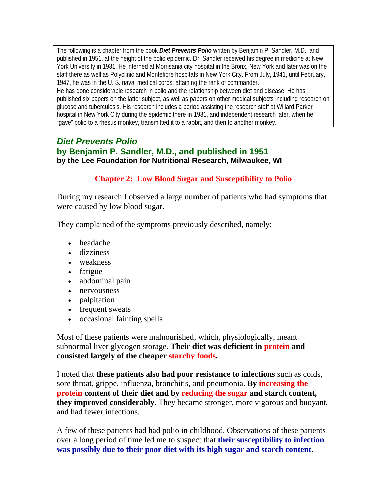The following is a chapter from the book *Diet Prevents Polio* written by Benjamin P. Sandler, M.D., and published in 1951, at the height of the polio epidemic. Dr. Sandler received his degree in medicine at New York University in 1931. He interned at Morrisania city hospital in the Bronx, New York and later was on the staff there as well as Polyclinic and Montefiore hospitals in New York City. From July, 1941, until February, 1947, he was in the U. S. naval medical corps, attaining the rank of commander. He has done considerable research in polio and the relationship between diet and disease. He has published six papers on the latter subject, as well as papers on other medical subjects including research on glucose and tuberculosis. His research includes a period assisting the research staff at Willard Parker hospital in New York City during the epidemic there in 1931, and independent research later, when he "gave" polio to a rhesus monkey, transmitted it to a rabbit, and then to another monkey.

# *Diet Prevents Polio* **by Benjamin P. Sandler, M.D., and published in 1951 by the Lee Foundation for Nutritional Research, Milwaukee, WI**

# **Chapter 2: Low Blood Sugar and Susceptibility to Polio**

During my research I observed a large number of patients who had symptoms that were caused by low blood sugar.

They complained of the symptoms previously described, namely:

- headache
- dizziness
- weakness
- fatigue
- abdominal pain
- nervousness
- palpitation
- frequent sweats
- occasional fainting spells

Most of these patients were malnourished, which, physiologically, meant subnormal liver glycogen storage. **Their diet was deficient in protein and consisted largely of the cheaper starchy foods.**

I noted that **these patients also had poor resistance to infections** such as colds, sore throat, grippe, influenza, bronchitis, and pneumonia. **By increasing the protein content of their diet and by reducing the sugar and starch content, they improved considerably.** They became stronger, more vigorous and buoyant, and had fewer infections.

A few of these patients had had polio in childhood. Observations of these patients over a long period of time led me to suspect that **their susceptibility to infection was possibly due to their poor diet with its high sugar and starch content**.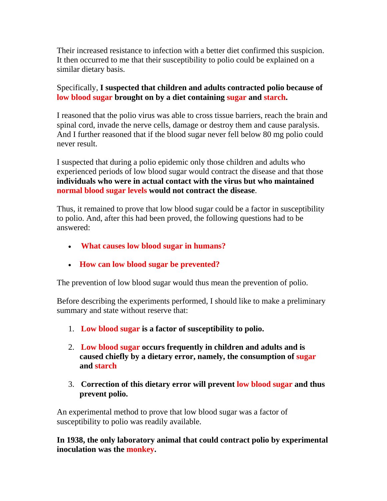Their increased resistance to infection with a better diet confirmed this suspicion. It then occurred to me that their susceptibility to polio could be explained on a similar dietary basis.

# Specifically, **I suspected that children and adults contracted polio because of low blood sugar brought on by a diet containing sugar and starch.**

I reasoned that the polio virus was able to cross tissue barriers, reach the brain and spinal cord, invade the nerve cells, damage or destroy them and cause paralysis. And I further reasoned that if the blood sugar never fell below 80 mg polio could never result.

I suspected that during a polio epidemic only those children and adults who experienced periods of low blood sugar would contract the disease and that those **individuals who were in actual contact with the virus but who maintained normal blood sugar levels would not contract the disease**.

Thus, it remained to prove that low blood sugar could be a factor in susceptibility to polio. And, after this had been proved, the following questions had to be answered:

- **What causes low blood sugar in humans?**
- **How can low blood sugar be prevented?**

The prevention of low blood sugar would thus mean the prevention of polio.

Before describing the experiments performed, I should like to make a preliminary summary and state without reserve that:

- 1. **Low blood sugar is a factor of susceptibility to polio.**
- 2. **Low blood sugar occurs frequently in children and adults and is caused chiefly by a dietary error, namely, the consumption of sugar and starch**
- 3. **Correction of this dietary error will prevent low blood sugar and thus prevent polio.**

An experimental method to prove that low blood sugar was a factor of susceptibility to polio was readily available.

**In 1938, the only laboratory animal that could contract polio by experimental inoculation was the monkey.**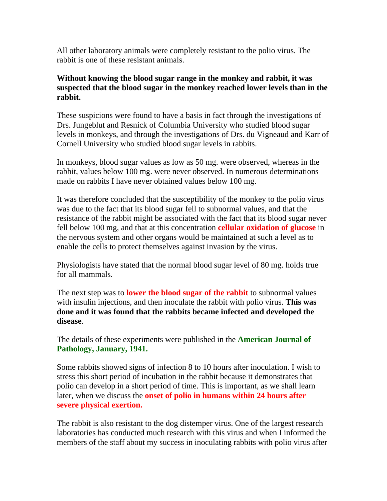All other laboratory animals were completely resistant to the polio virus. The rabbit is one of these resistant animals.

### **Without knowing the blood sugar range in the monkey and rabbit, it was suspected that the blood sugar in the monkey reached lower levels than in the rabbit.**

These suspicions were found to have a basis in fact through the investigations of Drs. Jungeblut and Resnick of Columbia University who studied blood sugar levels in monkeys, and through the investigations of Drs. du Vigneaud and Karr of Cornell University who studied blood sugar levels in rabbits.

In monkeys, blood sugar values as low as 50 mg. were observed, whereas in the rabbit, values below 100 mg. were never observed. In numerous determinations made on rabbits I have never obtained values below 100 mg.

It was therefore concluded that the susceptibility of the monkey to the polio virus was due to the fact that its blood sugar fell to subnormal values, and that the resistance of the rabbit might be associated with the fact that its blood sugar never fell below 100 mg, and that at this concentration **cellular oxidation of glucose** in the nervous system and other organs would be maintained at such a level as to enable the cells to protect themselves against invasion by the virus.

Physiologists have stated that the normal blood sugar level of 80 mg. holds true for all mammals.

The next step was to **lower the blood sugar of the rabbit** to subnormal values with insulin injections, and then inoculate the rabbit with polio virus. **This was done and it was found that the rabbits became infected and developed the disease**.

The details of these experiments were published in the **American Journal of Pathology, January, 1941.** 

Some rabbits showed signs of infection 8 to 10 hours after inoculation. I wish to stress this short period of incubation in the rabbit because it demonstrates that polio can develop in a short period of time. This is important, as we shall learn later, when we discuss the **onset of polio in humans within 24 hours after severe physical exertion.**

The rabbit is also resistant to the dog distemper virus. One of the largest research laboratories has conducted much research with this virus and when I informed the members of the staff about my success in inoculating rabbits with polio virus after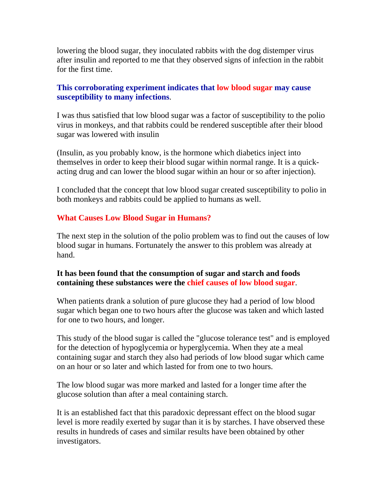lowering the blood sugar, they inoculated rabbits with the dog distemper virus after insulin and reported to me that they observed signs of infection in the rabbit for the first time.

### **This corroborating experiment indicates that low blood sugar may cause susceptibility to many infections**.

I was thus satisfied that low blood sugar was a factor of susceptibility to the polio virus in monkeys, and that rabbits could be rendered susceptible after their blood sugar was lowered with insulin

(Insulin, as you probably know, is the hormone which diabetics inject into themselves in order to keep their blood sugar within normal range. It is a quickacting drug and can lower the blood sugar within an hour or so after injection).

I concluded that the concept that low blood sugar created susceptibility to polio in both monkeys and rabbits could be applied to humans as well.

# **What Causes Low Blood Sugar in Humans?**

The next step in the solution of the polio problem was to find out the causes of low blood sugar in humans. Fortunately the answer to this problem was already at hand.

#### **It has been found that the consumption of sugar and starch and foods containing these substances were the chief causes of low blood sugar**.

When patients drank a solution of pure glucose they had a period of low blood sugar which began one to two hours after the glucose was taken and which lasted for one to two hours, and longer.

This study of the blood sugar is called the "glucose tolerance test" and is employed for the detection of hypoglycemia or hyperglycemia. When they ate a meal containing sugar and starch they also had periods of low blood sugar which came on an hour or so later and which lasted for from one to two hours.

The low blood sugar was more marked and lasted for a longer time after the glucose solution than after a meal containing starch.

It is an established fact that this paradoxic depressant effect on the blood sugar level is more readily exerted by sugar than it is by starches. I have observed these results in hundreds of cases and similar results have been obtained by other investigators.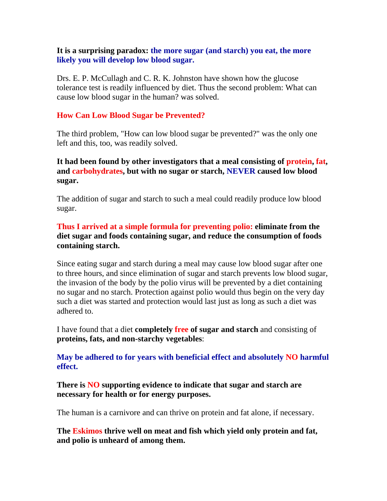#### **It is a surprising paradox: the more sugar (and starch) you eat, the more likely you will develop low blood sugar.**

Drs. E. P. McCullagh and C. R. K. Johnston have shown how the glucose tolerance test is readily influenced by diet. Thus the second problem: What can cause low blood sugar in the human? was solved.

### **How Can Low Blood Sugar be Prevented?**

The third problem, "How can low blood sugar be prevented?" was the only one left and this, too, was readily solved.

**It had been found by other investigators that a meal consisting of protein, fat, and carbohydrates, but with no sugar or starch, NEVER caused low blood sugar.**

The addition of sugar and starch to such a meal could readily produce low blood sugar.

### **Thus I arrived at a simple formula for preventing polio: eliminate from the diet sugar and foods containing sugar, and reduce the consumption of foods containing starch.**

Since eating sugar and starch during a meal may cause low blood sugar after one to three hours, and since elimination of sugar and starch prevents low blood sugar, the invasion of the body by the polio virus will be prevented by a diet containing no sugar and no starch. Protection against polio would thus begin on the very day such a diet was started and protection would last just as long as such a diet was adhered to.

I have found that a diet **completely free of sugar and starch** and consisting of **proteins, fats, and non-starchy vegetables**:

**May be adhered to for years with beneficial effect and absolutely NO harmful effect.** 

**There is NO supporting evidence to indicate that sugar and starch are necessary for health or for energy purposes.**

The human is a carnivore and can thrive on protein and fat alone, if necessary.

**The Eskimos thrive well on meat and fish which yield only protein and fat, and polio is unheard of among them.**